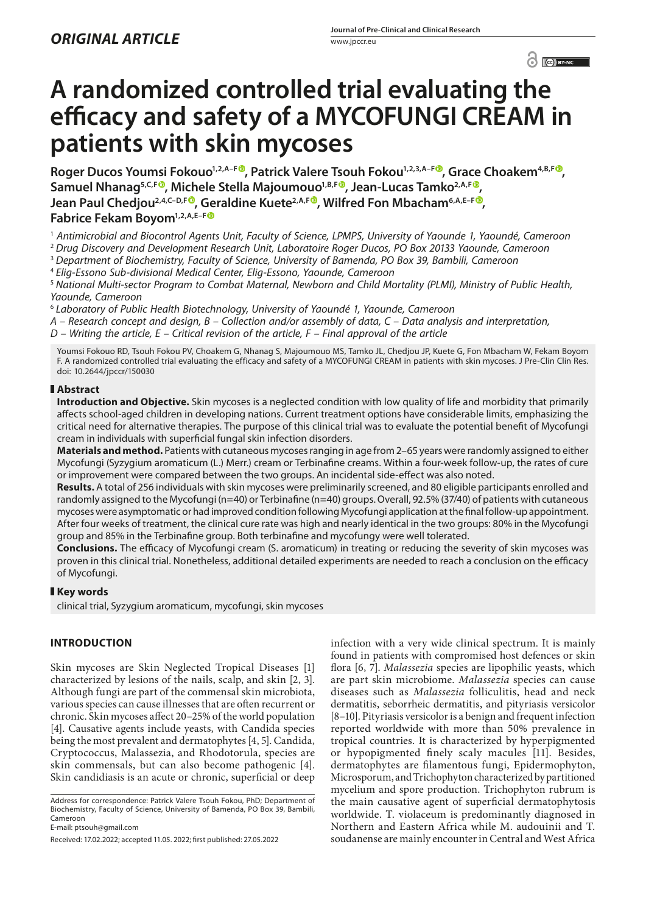$\odot$   $\odot$   $BY-NC$ 

# **A randomized controlled trial evaluating the efficacy and safety of a MYCOFUNGI CREAM in patients with skin mycoses**

Roger Ducos Youmsi Fokouo<sup>1[,](https://orcid.org/0000-0003-3538-9178)2,A–F®</sup>, Patrick Valere Tsouh Fokou<sup>1,2,3,A–F®</sup>, Grace Choakem<sup>4,B,F®</sup>, Samuel Nhanag<sup>5[,](https://orcid.org/0000-0001-7639-6855)C,F®</sup>, Michele Stella Majoumouo<sup>1,B,F®</sup>, Jean-Lucas Tamko<sup>2,A,F®</sup>, **Jean Paul Chedjou<sup>2[,](https://orcid.org/0000-0003-2157-0240)4,C–D,F®</sup>, Geraldine Kuete<sup>2,A,F®</sup>, Wilfred Fon Mbacham<sup>6,A,E–F®**</sup> **Fabrice Fekam Boyom1,2,A,E–F**

1  *Antimicrobial and Biocontrol Agents Unit, Faculty of Science, LPMPS, University of Yaounde 1, Yaoundé, Cameroon*

<sup>2</sup> *Drug Discovery and Development Research Unit, Laboratoire Roger Ducos, PO Box 20133 Yaounde, Cameroon*

<sup>3</sup> *Department of Biochemistry, Faculty of Science, University of Bamenda, PO Box 39, Bambili, Cameroon*

<sup>4</sup> *Elig-Essono Sub-divisional Medical Center, Elig-Essono, Yaounde, Cameroon*

<sup>5</sup> *National Multi-sector Program to Combat Maternal, Newborn and Child Mortality (PLMI), Ministry of Public Health, Yaounde, Cameroon*

<sup>6</sup> *Laboratory of Public Health Biotechnology, University of Yaoundé 1, Yaounde, Cameroon*

*A – Research concept and design, B – Collection and/or assembly of data, C – Data analysis and interpretation,* 

*D – Writing the article, E – Critical revision of the article, F – Final approval of the article*

Youmsi Fokouo RD, Tsouh Fokou PV, Choakem G, Nhanag S, Majoumouo MS, Tamko JL, Chedjou JP, Kuete G, Fon Mbacham W, Fekam Boyom F. A randomized controlled trial evaluating the efficacy and safety of a MYCOFUNGI CREAM in patients with skin mycoses. J Pre-Clin Clin Res. doi: 10.2644/jpccr/150030

# **Abstract**

**Introduction and Objective.** Skin mycoses is a neglected condition with low quality of life and morbidity that primarily affects school-aged children in developing nations. Current treatment options have considerable limits, emphasizing the critical need for alternative therapies. The purpose of this clinical trial was to evaluate the potential benefit of Mycofungi cream in individuals with superficial fungal skin infection disorders.

**Materials and method.** Patients with cutaneous mycoses ranging in age from 2–65 years were randomly assigned to either Mycofungi (Syzygium aromaticum (L.) Merr.) cream or Terbinafine creams. Within a four-week follow-up, the rates of cure or improvement were compared between the two groups. An incidental side-effect was also noted.

**Results.** A total of 256 individuals with skin mycoses were preliminarily screened, and 80 eligible participants enrolled and randomly assigned to the Mycofungi (n=40) or Terbinafine (n=40) groups. Overall, 92.5% (37/40) of patients with cutaneous mycoses were asymptomatic or had improved condition following Mycofungi application at the final follow-up appointment. After four weeks of treatment, the clinical cure rate was high and nearly identical in the two groups: 80% in the Mycofungi group and 85% in the Terbinafine group. Both terbinafine and mycofungy were well tolerated.

**Conclusions.** The efficacy of Mycofungi cream (S. aromaticum) in treating or reducing the severity of skin mycoses was proven in this clinical trial. Nonetheless, additional detailed experiments are needed to reach a conclusion on the efficacy of Mycofungi.

# **Key words**

clinical trial, Syzygium aromaticum, mycofungi, skin mycoses

# **INTRODUCTION**

Skin mycoses are Skin Neglected Tropical Diseases [1] characterized by lesions of the nails, scalp, and skin [2, 3]. Although fungi are part of the commensal skin microbiota, various species can cause illnesses that are often recurrent or chronic. Skin mycoses affect 20–25% of the world population [4]. Causative agents include yeasts, with Candida species being the most prevalent and dermatophytes [4, 5]. Candida, Cryptococcus, Malassezia, and Rhodotorula, species are skin commensals, but can also become pathogenic [4]. Skin candidiasis is an acute or chronic, superficial or deep

Address for correspondence: Patrick Valere Tsouh Fokou, PhD; Department of Biochemistry, Faculty of Science, University of Bamenda, PO Box 39, Bambili, Cameroon

E-mail: [ptsouh@gmail.com](mailto:ptsouh@gmail.com)

Received: 17.02.2022; accepted 11.05. 2022; first published: 27.05.2022

infection with a very wide clinical spectrum. It is mainly found in patients with compromised host defences or skin flora [6, 7]. *Malassezia* species are lipophilic yeasts, which are part skin microbiome. *Malassezia* species can cause diseases such as *Malassezia* folliculitis, head and neck dermatitis, seborrheic dermatitis, and pityriasis versicolor [8–10]. Pityriasis versicolor is a benign and frequent infection reported worldwide with more than 50% prevalence in tropical countries. It is characterized by hyperpigmented or hypopigmented finely scaly macules [11]. Besides, dermatophytes are filamentous fungi, Epidermophyton, Microsporum, and Trichophyton characterized by partitioned mycelium and spore production. Trichophyton rubrum is the main causative agent of superficial dermatophytosis worldwide. T. violaceum is predominantly diagnosed in Northern and Eastern Africa while M. audouinii and T. soudanense are mainly encounter in Central and West Africa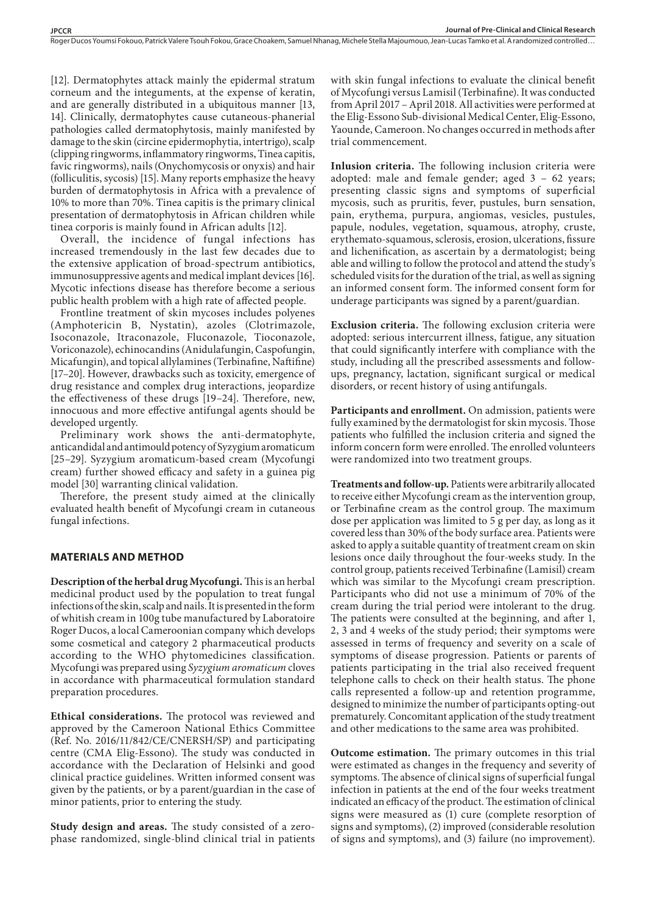Roger Ducos Youmsi Fokouo, Patrick Valere Tsouh Fokou, Grace Choakem, Samuel Nhanag, Michele Stella Majoumouo, Jean-Lucas Tamko et al. A randomized controlled…

[12]. Dermatophytes attack mainly the epidermal stratum corneum and the integuments, at the expense of keratin, and are generally distributed in a ubiquitous manner [13, 14]. Clinically, dermatophytes cause cutaneous-phanerial pathologies called dermatophytosis, mainly manifested by damage to the skin (circine epidermophytia, intertrigo), scalp (clipping ringworms, inflammatory ringworms, Tinea capitis, favic ringworms), nails (Onychomycosis or onyxis) and hair (folliculitis, sycosis) [15]. Many reports emphasize the heavy burden of dermatophytosis in Africa with a prevalence of 10% to more than 70%. Tinea capitis is the primary clinical presentation of dermatophytosis in African children while tinea corporis is mainly found in African adults [12].

Overall, the incidence of fungal infections has increased tremendously in the last few decades due to the extensive application of broad-spectrum antibiotics, immunosuppressive agents and medical implant devices [16]. Mycotic infections disease has therefore become a serious public health problem with a high rate of affected people.

Frontline treatment of skin mycoses includes polyenes (Amphotericin B, Nystatin), azoles (Clotrimazole, Isoconazole, Itraconazole, Fluconazole, Tioconazole, Voriconazole), echinocandins (Anidulafungin, Caspofungin, Micafungin), and topical allylamines (Terbinafine, Naftifine) [17–20]. However, drawbacks such as toxicity, emergence of drug resistance and complex drug interactions, jeopardize the effectiveness of these drugs [19–24]. Therefore, new, innocuous and more effective antifungal agents should be developed urgently.

Preliminary work shows the anti-dermatophyte, anticandidal and antimould potency of Syzygium aromaticum [25–29]. Syzygium aromaticum-based cream (Mycofungi cream) further showed efficacy and safety in a guinea pig model [30] warranting clinical validation.

Therefore, the present study aimed at the clinically evaluated health benefit of Mycofungi cream in cutaneous fungal infections.

# **MATERIALS AND METHOD**

**Description of the herbal drug Mycofungi.** This is an herbal medicinal product used by the population to treat fungal infections of the skin, scalp and nails. It is presented in the form of whitish cream in 100g tube manufactured by Laboratoire Roger Ducos, a local Cameroonian company which develops some cosmetical and category 2 pharmaceutical products according to the WHO phytomedicines classification. Mycofungi was prepared using *Syzygium aromaticum* cloves in accordance with pharmaceutical formulation standard preparation procedures.

**Ethical considerations.** The protocol was reviewed and approved by the Cameroon National Ethics Committee (Ref. No. 2016/11/842/CE/CNERSH/SP) and participating centre (CMA Elig-Essono). The study was conducted in accordance with the Declaration of Helsinki and good clinical practice guidelines. Written informed consent was given by the patients, or by a parent/guardian in the case of minor patients, prior to entering the study.

**Study design and areas.** The study consisted of a zerophase randomized, single-blind clinical trial in patients

with skin fungal infections to evaluate the clinical benefit of Mycofungi versus Lamisil (Terbinafine). It was conducted from April 2017 – April 2018. All activities were performed at the Elig-Essono Sub-divisional Medical Center, Elig-Essono, Yaounde, Cameroon. No changes occurred in methods after trial commencement.

**Inlusion criteria.** The following inclusion criteria were adopted: male and female gender; aged 3 – 62 years; presenting classic signs and symptoms of superficial mycosis, such as pruritis, fever, pustules, burn sensation, pain, erythema, purpura, angiomas, vesicles, pustules, papule, nodules, vegetation, squamous, atrophy, cruste, erythemato-squamous, sclerosis, erosion, ulcerations, fissure and lichenification, as ascertain by a dermatologist; being able and willing to follow the protocol and attend the study's scheduled visits for the duration of the trial, as well as signing an informed consent form. The informed consent form for underage participants was signed by a parent/guardian.

**Exclusion criteria.** The following exclusion criteria were adopted: serious intercurrent illness, fatigue, any situation that could significantly interfere with compliance with the study, including all the prescribed assessments and followups, pregnancy, lactation, significant surgical or medical disorders, or recent history of using antifungals.

**Participants and enrollment.** On admission, patients were fully examined by the dermatologist for skin mycosis. Those patients who fulfilled the inclusion criteria and signed the inform concern form were enrolled. The enrolled volunteers were randomized into two treatment groups.

**Treatments and follow-up.** Patients were arbitrarily allocated to receive either Mycofungi cream as the intervention group, or Terbinafine cream as the control group. The maximum dose per application was limited to 5 g per day, as long as it covered less than 30% of the body surface area. Patients were asked to apply a suitable quantity of treatment cream on skin lesions once daily throughout the four-weeks study. In the control group, patients received Terbinafine (Lamisil) cream which was similar to the Mycofungi cream prescription. Participants who did not use a minimum of 70% of the cream during the trial period were intolerant to the drug. The patients were consulted at the beginning, and after 1, 2, 3 and 4 weeks of the study period; their symptoms were assessed in terms of frequency and severity on a scale of symptoms of disease progression. Patients or parents of patients participating in the trial also received frequent telephone calls to check on their health status. The phone calls represented a follow-up and retention programme, designed to minimize the number of participants opting-out prematurely. Concomitant application of the study treatment and other medications to the same area was prohibited.

**Outcome estimation.** The primary outcomes in this trial were estimated as changes in the frequency and severity of symptoms. The absence of clinical signs of superficial fungal infection in patients at the end of the four weeks treatment indicated an efficacy of the product. The estimation of clinical signs were measured as (1) cure (complete resorption of signs and symptoms), (2) improved (considerable resolution of signs and symptoms), and (3) failure (no improvement).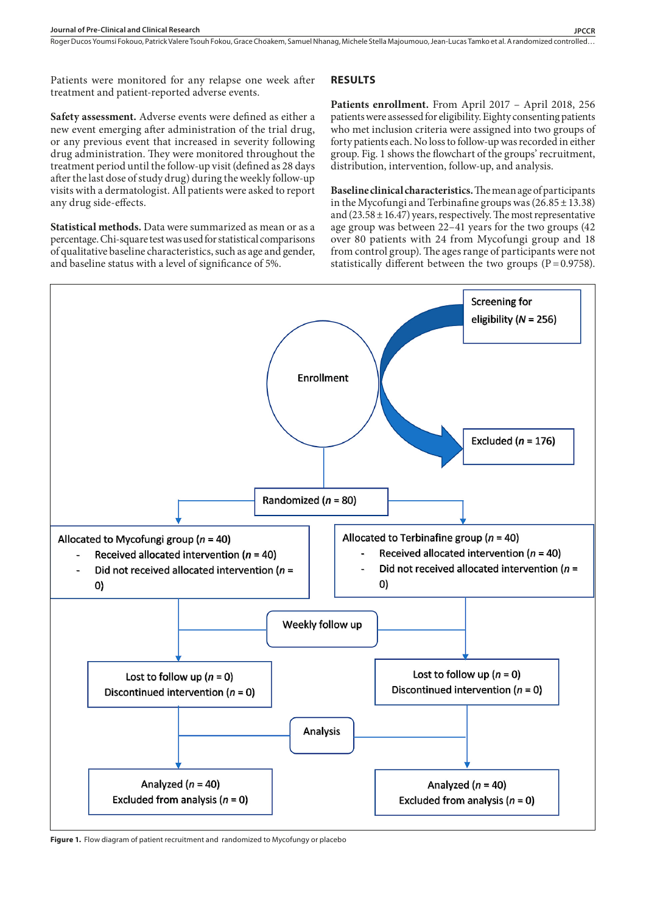Patients were monitored for any relapse one week after treatment and patient-reported adverse events.

# **Safety assessment.** Adverse events were defined as either a new event emerging after administration of the trial drug, or any previous event that increased in severity following drug administration. They were monitored throughout the treatment period until the follow-up visit (defined as 28 days after the last dose of study drug) during the weekly follow-up visits with a dermatologist. All patients were asked to report any drug side-effects.

**Statistical methods.** Data were summarized as mean or as a percentage. Chi-square test was used for statistical comparisons of qualitative baseline characteristics, such as age and gender, and baseline status with a level of significance of 5%.

# **RESULTS**

**Patients enrollment.** From April 2017 – April 2018, 256 patients were assessed for eligibility. Eighty consenting patients who met inclusion criteria were assigned into two groups of forty patients each. No loss to follow-up was recorded in either group. Fig. 1 shows the flowchart of the groups' recruitment, distribution, intervention, follow-up, and analysis.

**Baseline clinical characteristics.** The mean age of participants in the Mycofungi and Terbinafine groups was  $(26.85 \pm 13.38)$ and  $(23.58 \pm 16.47)$  years, respectively. The most representative age group was between 22–41 years for the two groups (42 over 80 patients with 24 from Mycofungi group and 18 from control group). The ages range of participants were not statistically different between the two groups  $(P=0.9758)$ .



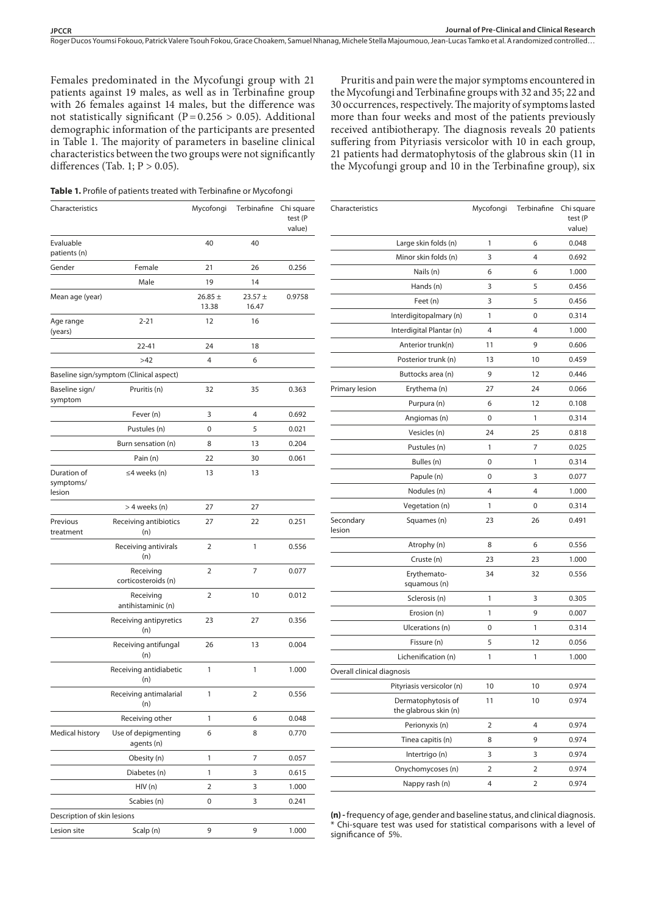Pruritis and pain were the major symptoms encountered in the Mycofungi and Terbinafine groups with 32 and 35; 22 and 30 occurrences, respectively. The majority of symptoms lasted

Roger Ducos Youmsi Fokouo, Patrick Valere Tsouh Fokou, Grace Choakem, Samuel Nhanag, Michele Stella Majoumouo, Jean-Lucas Tamko et al. A randomized controlled ...

Females predominated in the Mycofungi group with 21 patients against 19 males, as well as in Terbinafine group with 26 females against 14 males, but the difference was not statistically significant (P=0.256  $> 0.05$ ). Additional demographic information of the participants are presented in Table 1. The majority of parameters in baseline clinical characteristics between the two groups were not significantly differences (Tab. 1;  $P > 0.05$ ).

**Table 1.** Profile of patients treated with Terbinafine or Mycofongi

Characteristics Mycofongi Terbinafine Chi square test (P value) Evaluable patients (n) 40 40 Gender Female 21 26 0.256 Male 19 14 Mean age (year)  $26.85 \pm$ 13.38  $23.57 +$ 16.47 0.9758 Age range (years) 2-21 12 16 22-41 24 18  $>42$  6 Baseline sign/symptom (Clinical aspect) Baseline sign/ symptom Pruritis (n) 32 35 0.363 Fever (n) 3 4 0.692 Pustules (n)  $0$  5 0.021 Burn sensation (n) 8 13 0.204 Pain (n) 22 30 0.061 Duration of symptoms/ lesion ≤4 weeks (n) 13 13 > 4 weeks (n) 27 27 Previous treatment Receiving antibiotics (n) 27 22 0.251 Receiving antivirals (n) 2 1 0.556 Receiving corticosteroids (n) 2 7 0.077 Receiving antihistaminic (n) 2 10 0.012 Receiving antipyretics (n) 23 27 0.356 Receiving antifungal (n) 26 13 0.004 Receiving antidiabetic (n) 1 1 1.000 Receiving antimalarial (n) 1 2 0.556 Receiving other 1 6 0.048 Medical history Use of depigmenting agents (n) 6 8 0.770 Obesity (n) 1 7 0.057 Diabetes (n) 1 3 0.615 HIV (n) 2 3 1.000 Scabies (n) 0 3 0.241 Description of skin lesions Lesion site Scalp (n) 9 9 1.000

|                            | more than four weeks and most of the patients previously<br>received antibiotherapy. The diagnosis reveals 20 patients<br>suffering from Pityriasis versicolor with 10 in each group,<br>21 patients had dermatophytosis of the glabrous skin (11 in<br>the Mycofungi group and 10 in the Terbinafine group), six |           |             |                                 |  |  |
|----------------------------|-------------------------------------------------------------------------------------------------------------------------------------------------------------------------------------------------------------------------------------------------------------------------------------------------------------------|-----------|-------------|---------------------------------|--|--|
| Characteristics            |                                                                                                                                                                                                                                                                                                                   | Mycofongi | Terbinafine | Chi square<br>test (P<br>value) |  |  |
|                            | Large skin folds (n)                                                                                                                                                                                                                                                                                              | 1         | 6           | 0.048                           |  |  |
|                            | Minor skin folds (n)                                                                                                                                                                                                                                                                                              | 3         | 4           | 0.692                           |  |  |
|                            | Nails (n)                                                                                                                                                                                                                                                                                                         | 6         | 6           | 1.000                           |  |  |
|                            | Hands (n)                                                                                                                                                                                                                                                                                                         | 3         | 5           | 0.456                           |  |  |
|                            | Feet (n)                                                                                                                                                                                                                                                                                                          | 3         | 5           | 0.456                           |  |  |
|                            | Interdigitopalmary (n)                                                                                                                                                                                                                                                                                            | 1         | 0           | 0.314                           |  |  |
|                            | Interdigital Plantar (n)                                                                                                                                                                                                                                                                                          | 4         | 4           | 1.000                           |  |  |
|                            | Anterior trunk(n)                                                                                                                                                                                                                                                                                                 | 11        | 9           | 0.606                           |  |  |
|                            | Posterior trunk (n)                                                                                                                                                                                                                                                                                               | 13        | 10          | 0.459                           |  |  |
|                            | Buttocks area (n)                                                                                                                                                                                                                                                                                                 | 9         | 12          | 0.446                           |  |  |
| Primary lesion             | Erythema (n)                                                                                                                                                                                                                                                                                                      | 27        | 24          | 0.066                           |  |  |
|                            | Purpura (n)                                                                                                                                                                                                                                                                                                       | 6         | 12          | 0.108                           |  |  |
|                            | Angiomas (n)                                                                                                                                                                                                                                                                                                      | 0         | 1           | 0.314                           |  |  |
|                            | Vesicles (n)                                                                                                                                                                                                                                                                                                      | 24        | 25          | 0.818                           |  |  |
|                            | Pustules (n)                                                                                                                                                                                                                                                                                                      | 1         | 7           | 0.025                           |  |  |
|                            | Bulles (n)                                                                                                                                                                                                                                                                                                        | 0         | 1           | 0.314                           |  |  |
|                            | Papule (n)                                                                                                                                                                                                                                                                                                        | 0         | 3           | 0.077                           |  |  |
|                            | Nodules (n)                                                                                                                                                                                                                                                                                                       | 4         | 4           | 1.000                           |  |  |
|                            | Vegetation (n)                                                                                                                                                                                                                                                                                                    | 1         | 0           | 0.314                           |  |  |
| Secondary<br>lesion        | Squames (n)                                                                                                                                                                                                                                                                                                       | 23        | 26          | 0.491                           |  |  |
|                            | Atrophy (n)                                                                                                                                                                                                                                                                                                       | 8         | 6           | 0.556                           |  |  |
|                            | Cruste (n)                                                                                                                                                                                                                                                                                                        | 23        | 23          | 1.000                           |  |  |
|                            | Erythemato-<br>squamous (n)                                                                                                                                                                                                                                                                                       | 34        | 32          | 0.556                           |  |  |
|                            | Sclerosis (n)                                                                                                                                                                                                                                                                                                     | 1         | 3           | 0.305                           |  |  |
|                            | Erosion (n)                                                                                                                                                                                                                                                                                                       | 1         | 9           | 0.007                           |  |  |
|                            | Ulcerations (n)                                                                                                                                                                                                                                                                                                   | 0         | 1           | 0.314                           |  |  |
|                            | Fissure (n)                                                                                                                                                                                                                                                                                                       | 5         | 12          | 0.056                           |  |  |
|                            | Lichenification (n)                                                                                                                                                                                                                                                                                               | 1         | 1           | 1.000                           |  |  |
| Overall clinical diagnosis |                                                                                                                                                                                                                                                                                                                   |           |             |                                 |  |  |
|                            | Pityriasis versicolor (n)                                                                                                                                                                                                                                                                                         | 10        | 10          | 0.974                           |  |  |
|                            | Dermatophytosis of<br>the glabrous skin (n)                                                                                                                                                                                                                                                                       | 11        | 10          | 0.974                           |  |  |
|                            | Perionyxis (n)                                                                                                                                                                                                                                                                                                    | 2         | 4           | 0.974                           |  |  |
|                            | Tinea capitis (n)                                                                                                                                                                                                                                                                                                 | 8         | 9           | 0.974                           |  |  |
|                            | Intertrigo (n)                                                                                                                                                                                                                                                                                                    | 3         | 3           | 0.974                           |  |  |
|                            | Onychomycoses (n)                                                                                                                                                                                                                                                                                                 | 2         | 2           | 0.974                           |  |  |

**(n) -** frequency of age, gender and baseline status, and clinical diagnosis. \* Chi-square test was used for statistical comparisons with a level of significance of 5%.

Nappy rash (n) 4 2 0.974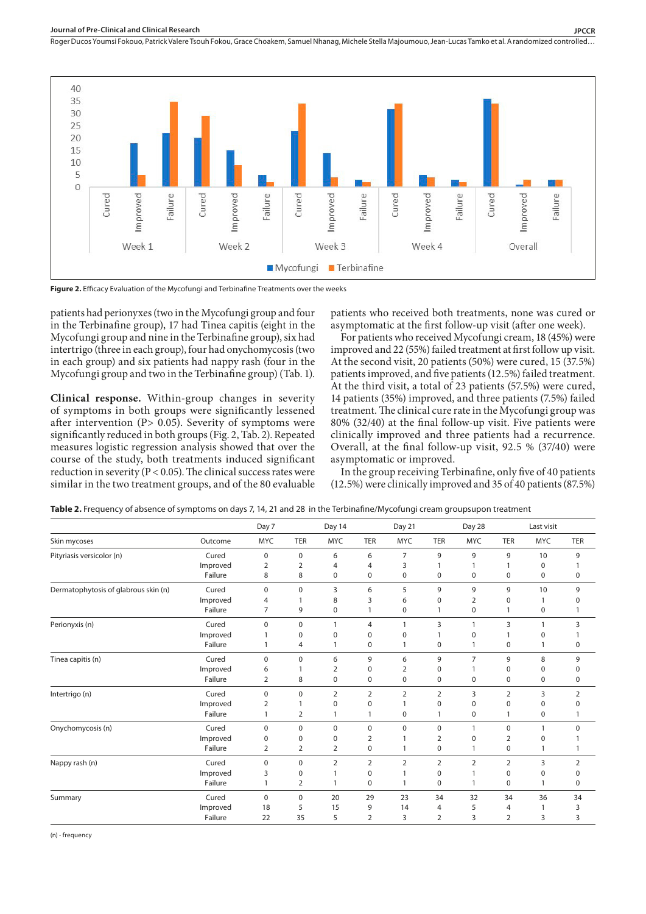

**Figure 2.** Efficacy Evaluation of the Mycofungi and Terbinafine Treatments over the weeks

patients had perionyxes (two in the Mycofungi group and four in the Terbinafine group), 17 had Tinea capitis (eight in the Mycofungi group and nine in the Terbinafine group), six had intertrigo (three in each group), four had onychomycosis (two in each group) and six patients had nappy rash (four in the Mycofungi group and two in the Terbinafine group) (Tab. 1).

**Clinical response.** Within-group changes in severity of symptoms in both groups were significantly lessened after intervention ( $P$ > 0.05). Severity of symptoms were significantly reduced in both groups (Fig. 2, Tab. 2). Repeated measures logistic regression analysis showed that over the course of the study, both treatments induced significant reduction in severity ( $P < 0.05$ ). The clinical success rates were similar in the two treatment groups, and of the 80 evaluable

patients who received both treatments, none was cured or asymptomatic at the first follow-up visit (after one week).

For patients who received Mycofungi cream, 18 (45%) were improved and 22 (55%) failed treatment at first follow up visit. At the second visit, 20 patients (50%) were cured, 15 (37.5%) patients improved, and five patients (12.5%) failed treatment. At the third visit, a total of 23 patients (57.5%) were cured, 14 patients (35%) improved, and three patients (7.5%) failed treatment. The clinical cure rate in the Mycofungi group was 80% (32/40) at the final follow-up visit. Five patients were clinically improved and three patients had a recurrence. Overall, at the final follow-up visit, 92.5 % (37/40) were asymptomatic or improved.

In the group receiving Terbinafine, only five of 40 patients (12.5%) were clinically improved and 35 of 40 patients (87.5%)

|                                      |          | Day 7          |                | Day 14         |                | Day 21         |                | Day 28         |                | Last visit   |                |
|--------------------------------------|----------|----------------|----------------|----------------|----------------|----------------|----------------|----------------|----------------|--------------|----------------|
| Skin mycoses                         | Outcome  | <b>MYC</b>     | <b>TER</b>     | <b>MYC</b>     | TER            | <b>MYC</b>     | <b>TER</b>     | <b>MYC</b>     | <b>TER</b>     | <b>MYC</b>   | <b>TER</b>     |
| Pityriasis versicolor (n)            | Cured    | $\mathbf 0$    | 0              | 6              | 6              | 7              | 9              | 9              | 9              | 10           | 9              |
|                                      | Improved | 2              | 2              | 4              | 4              | 3              |                |                |                | 0            |                |
|                                      | Failure  | 8              | 8              | 0              | 0              | 0              | 0              | 0              | 0              | 0            | 0              |
| Dermatophytosis of glabrous skin (n) | Cured    | $\Omega$       | 0              | 3              | 6              | 5              | 9              | 9              | 9              | 10           | 9              |
|                                      | Improved | 4              |                | 8              | 3              | 6              | 0              | 2              | 0              |              | 0              |
|                                      | Failure  | $\overline{7}$ | 9              | 0              |                | $\mathbf 0$    |                | 0              |                | $\mathbf 0$  |                |
| Perionyxis (n)                       | Cured    | $\Omega$       | 0              | 1              | 4              | 1              | 3              | 1              | 3              | $\mathbf{1}$ | 3              |
|                                      | Improved |                | 0              | 0              | 0              | 0              |                | $\mathbf 0$    |                | $\mathbf 0$  |                |
|                                      | Failure  |                | 4              |                | 0              |                | 0              | 1              | 0              |              | 0              |
| Tinea capitis (n)                    | Cured    | $\Omega$       | $\mathbf 0$    | 6              | 9              | 6              | 9              | $\overline{7}$ | 9              | 8            | 9              |
|                                      | Improved | 6              |                | 2              | 0              | 2              | 0              | 1              | 0              | 0            | 0              |
|                                      | Failure  | $\overline{2}$ | 8              | 0              | 0              | 0              | 0              | $\pmb{0}$      | 0              | $\mathbf 0$  | 0              |
| Intertrigo (n)                       | Cured    | $\mathbf 0$    | 0              | $\overline{2}$ | 2              | $\overline{2}$ | $\overline{2}$ | 3              | $\overline{2}$ | 3            | $\overline{2}$ |
|                                      | Improved | $\overline{2}$ | $\mathbf{1}$   | $\mathbf 0$    | $\mathbf 0$    | $\mathbf{1}$   | $\mathbf 0$    | $\mathbf 0$    | $\mathbf 0$    | $\mathbf 0$  | $\Omega$       |
|                                      | Failure  | $\mathbf{1}$   | $\overline{2}$ | 1              | 1              | 0              | 1              | 0              | 1              | $\mathbf 0$  | 1              |
| Onychomycosis (n)                    | Cured    | $\mathbf 0$    | $\mathbf 0$    | 0              | $\mathbf 0$    | $\mathbf 0$    | 0              | 1              | $\mathbf 0$    | 1            | $\Omega$       |
|                                      | Improved | $\mathbf 0$    | 0              | 0              | 2              | 1              | 2              | $\mathbf 0$    | 2              | 0            |                |
|                                      | Failure  | $\overline{2}$ | 2              | $\overline{2}$ | 0              | $\mathbf{1}$   | 0              | 1              | 0              | 1            | 1              |
| Nappy rash (n)                       | Cured    | $\mathbf 0$    | $\mathbf 0$    | $\overline{2}$ | $\overline{2}$ | $\overline{2}$ | 2              | $\overline{2}$ | $\overline{2}$ | 3            | $\overline{2}$ |
|                                      | Improved | 3              | 0              |                | 0              | 1              | $\mathbf 0$    | 1              | $\mathbf 0$    | $\mathbf 0$  | 0              |
|                                      | Failure  | $\mathbf{1}$   | 2              | 1              | 0              | $\mathbf{1}$   | 0              | 1              | $\pmb{0}$      | $\mathbf{1}$ | 0              |
| Summary                              | Cured    | $\mathbf 0$    | 0              | 20             | 29             | 23             | 34             | 32             | 34             | 36           | 34             |
|                                      | Improved | 18             | 5              | 15             | 9              | 14             | 4              | 5              | 4              | 1            | 3              |
|                                      | Failure  | 22             | 35             | 5              | 2              | 3              | 2              | 3              | $\overline{2}$ | 3            | 3              |

(n) - frequency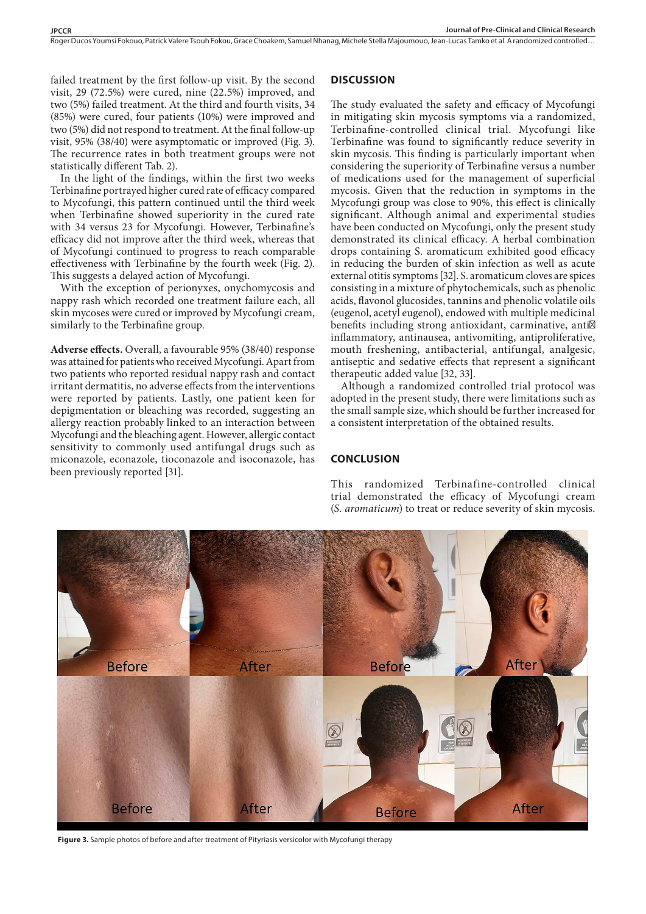Roger Ducos Youmsi Fokouo, Patrick Valere Tsouh Fokou, Grace Choakem, Samuel Nhanag, Michele Stella Majoumouo, Jean-Lucas Tamko et al. A randomized controlled…

failed treatment by the first follow-up visit. By the second visit, 29 (72.5%) were cured, nine (22.5%) improved, and two (5%) failed treatment. At the third and fourth visits, 34 (85%) were cured, four patients (10%) were improved and two (5%) did not respond to treatment. At the final follow-up visit, 95% (38/40) were asymptomatic or improved (Fig. 3). The recurrence rates in both treatment groups were not statistically different Tab. 2).

In the light of the findings, within the first two weeks Terbinafine portrayed higher cured rate of efficacy compared to Mycofungi, this pattern continued until the third week when Terbinafine showed superiority in the cured rate with 34 versus 23 for Mycofungi. However, Terbinafine's efficacy did not improve after the third week, whereas that of Mycofungi continued to progress to reach comparable effectiveness with Terbinafine by the fourth week (Fig. 2). This suggests a delayed action of Mycofungi.

With the exception of perionyxes, onychomycosis and nappy rash which recorded one treatment failure each, all skin mycoses were cured or improved by Mycofungi cream, similarly to the Terbinafine group.

**Adverse effects.** Overall, a favourable 95% (38/40) response was attained for patients who received Mycofungi. Apart from two patients who reported residual nappy rash and contact irritant dermatitis, no adverse effects from the interventions were reported by patients. Lastly, one patient keen for depigmentation or bleaching was recorded, suggesting an allergy reaction probably linked to an interaction between Mycofungi and the bleaching agent. However, allergic contact sensitivity to commonly used antifungal drugs such as miconazole, econazole, tioconazole and isoconazole, has been previously reported [31].

#### **DISCUSSION**

The study evaluated the safety and efficacy of Mycofungi in mitigating skin mycosis symptoms via a randomized, Terbinafine-controlled clinical trial. Mycofungi like Terbinafine was found to significantly reduce severity in skin mycosis. This finding is particularly important when considering the superiority of Terbinafine versus a number of medications used for the management of superficial mycosis. Given that the reduction in symptoms in the Mycofungi group was close to 90%, this effect is clinically significant. Although animal and experimental studies have been conducted on Mycofungi, only the present study demonstrated its clinical efficacy. A herbal combination drops containing S. aromaticum exhibited good efficacy in reducing the burden of skin infection as well as acute external otitis symptoms [32]. S. aromaticum cloves are spices consisting in a mixture of phytochemicals, such as phenolic acids, flavonol glucosides, tannins and phenolic volatile oils (eugenol, acetyl eugenol), endowed with multiple medicinal benefits including strong antioxidant, carminative, anti inflammatory, antinausea, antivomiting, antiproliferative, mouth freshening, antibacterial, antifungal, analgesic, antiseptic and sedative effects that represent a significant therapeutic added value [32, 33].

Although a randomized controlled trial protocol was adopted in the present study, there were limitations such as the small sample size, which should be further increased for a consistent interpretation of the obtained results.

# **CONCLUSION**

This randomized Terbinafine-controlled clinical trial demonstrated the efficacy of Mycofungi cream (*S. aromaticum*) to treat or reduce severity of skin mycosis.



**Figure 3.** Sample photos of before and after treatment of Pityriasis versicolor with Mycofungi therapy